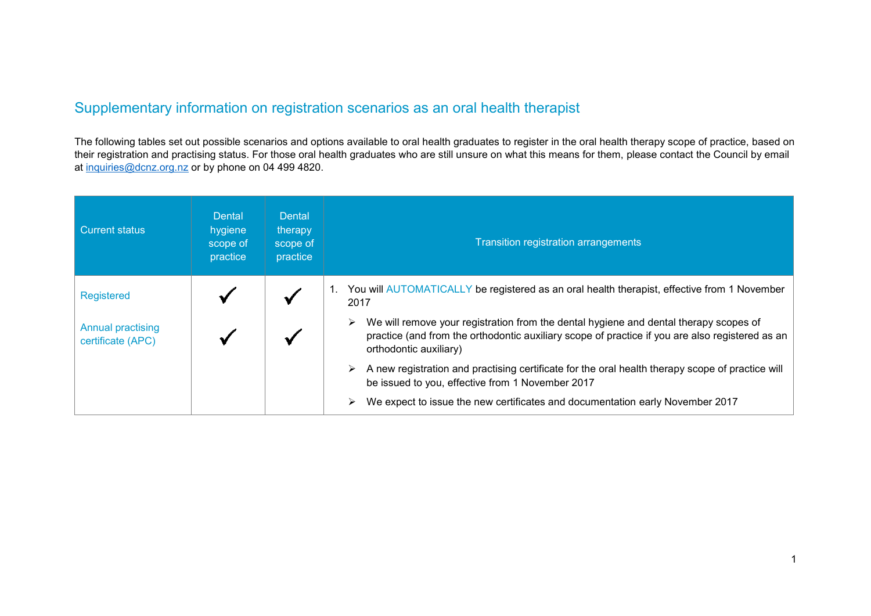## Supplementary information on registration scenarios as an oral health therapist

The following tables set out possible scenarios and options available to oral health graduates to register in the oral health therapy scope of practice, based on their registration and practising status. For those oral health graduates who are still unsure on what this means for them, please contact the Council by email at [inquiries@dcnz.org.nz](mailto:inquiries@dcnz.org.nz) or by phone on 04 499 4820.

| Current status                                | Dental<br>hygiene<br>scope of<br>practice | <b>Dental</b><br>therapy<br>scope of<br>practice | <b>Transition registration arrangements</b>                                                                                                                                                                        |
|-----------------------------------------------|-------------------------------------------|--------------------------------------------------|--------------------------------------------------------------------------------------------------------------------------------------------------------------------------------------------------------------------|
| Registered                                    |                                           |                                                  | You will AUTOMATICALLY be registered as an oral health therapist, effective from 1 November<br>2017                                                                                                                |
| <b>Annual practising</b><br>certificate (APC) |                                           |                                                  | We will remove your registration from the dental hygiene and dental therapy scopes of<br>practice (and from the orthodontic auxiliary scope of practice if you are also registered as an<br>orthodontic auxiliary) |
|                                               |                                           |                                                  | $\triangleright$ A new registration and practising certificate for the oral health therapy scope of practice will<br>be issued to you, effective from 1 November 2017                                              |
|                                               |                                           |                                                  | We expect to issue the new certificates and documentation early November 2017<br>➤                                                                                                                                 |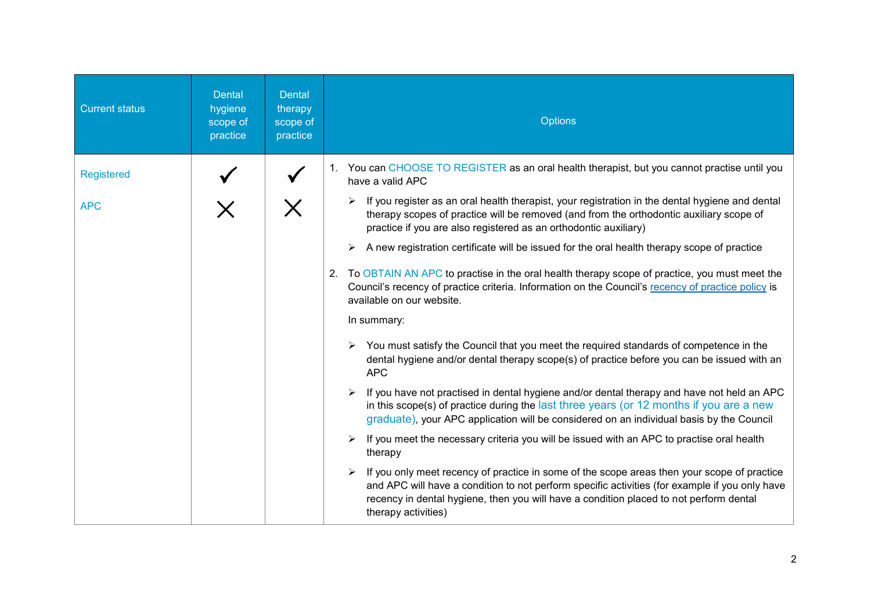| <b>Current status</b> | <b>Dental</b><br>hygiene<br>scope of<br>practice | <b>Dental</b><br>therapy<br>scope of<br>practice | <b>Options</b>                                                                                                                                                                                                                                                                                                 |
|-----------------------|--------------------------------------------------|--------------------------------------------------|----------------------------------------------------------------------------------------------------------------------------------------------------------------------------------------------------------------------------------------------------------------------------------------------------------------|
| <b>Registered</b>     |                                                  |                                                  | 1. You can CHOOSE TO REGISTER as an oral health therapist, but you cannot practise until you<br>have a valid APC                                                                                                                                                                                               |
| <b>APC</b>            |                                                  |                                                  | If you register as an oral health therapist, your registration in the dental hygiene and dental<br>therapy scopes of practice will be removed (and from the orthodontic auxiliary scope of<br>practice if you are also registered as an orthodontic auxiliary)                                                 |
|                       |                                                  |                                                  | A new registration certificate will be issued for the oral health therapy scope of practice<br>➤                                                                                                                                                                                                               |
|                       |                                                  |                                                  | 2. To OBTAIN AN APC to practise in the oral health therapy scope of practice, you must meet the<br>Council's recency of practice criteria. Information on the Council's recency of practice policy is<br>available on our website.                                                                             |
|                       |                                                  |                                                  | In summary:                                                                                                                                                                                                                                                                                                    |
|                       |                                                  |                                                  | $\triangleright$ You must satisfy the Council that you meet the required standards of competence in the<br>dental hygiene and/or dental therapy scope(s) of practice before you can be issued with an<br><b>APC</b>                                                                                            |
|                       |                                                  |                                                  | If you have not practised in dental hygiene and/or dental therapy and have not held an APC<br>in this scope(s) of practice during the last three years (or 12 months if you are a new<br>graduate), your APC application will be considered on an individual basis by the Council                              |
|                       |                                                  |                                                  | If you meet the necessary criteria you will be issued with an APC to practise oral health<br>➤<br>therapy                                                                                                                                                                                                      |
|                       |                                                  |                                                  | If you only meet recency of practice in some of the scope areas then your scope of practice<br>and APC will have a condition to not perform specific activities (for example if you only have<br>recency in dental hygiene, then you will have a condition placed to not perform dental<br>therapy activities) |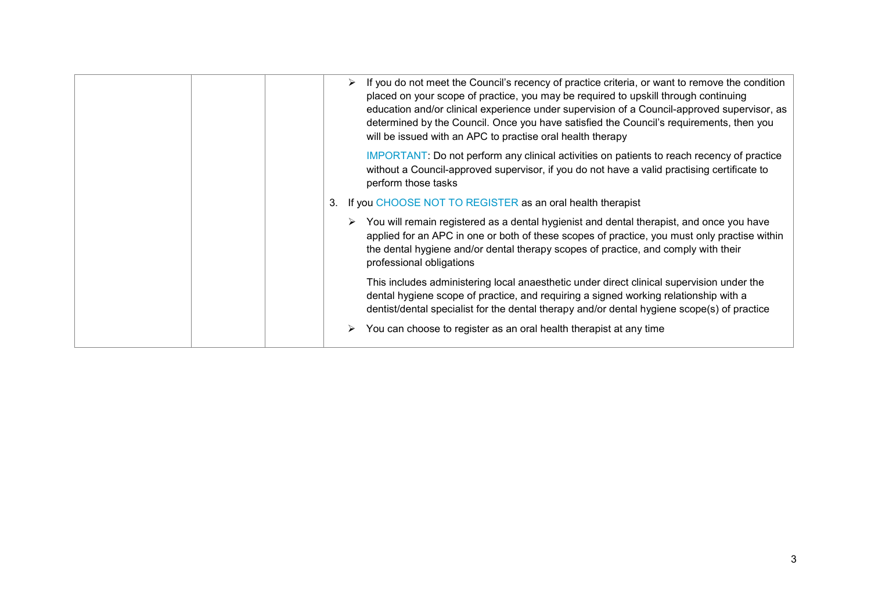| If you do not meet the Council's recency of practice criteria, or want to remove the condition<br>➤<br>placed on your scope of practice, you may be required to upskill through continuing<br>education and/or clinical experience under supervision of a Council-approved supervisor, as<br>determined by the Council. Once you have satisfied the Council's requirements, then you<br>will be issued with an APC to practise oral health therapy |
|----------------------------------------------------------------------------------------------------------------------------------------------------------------------------------------------------------------------------------------------------------------------------------------------------------------------------------------------------------------------------------------------------------------------------------------------------|
| IMPORTANT: Do not perform any clinical activities on patients to reach recency of practice<br>without a Council-approved supervisor, if you do not have a valid practising certificate to<br>perform those tasks                                                                                                                                                                                                                                   |
| If you CHOOSE NOT TO REGISTER as an oral health therapist<br>3.                                                                                                                                                                                                                                                                                                                                                                                    |
| $\triangleright$ You will remain registered as a dental hygienist and dental therapist, and once you have<br>applied for an APC in one or both of these scopes of practice, you must only practise within<br>the dental hygiene and/or dental therapy scopes of practice, and comply with their<br>professional obligations                                                                                                                        |
| This includes administering local anaesthetic under direct clinical supervision under the<br>dental hygiene scope of practice, and requiring a signed working relationship with a<br>dentist/dental specialist for the dental therapy and/or dental hygiene scope(s) of practice                                                                                                                                                                   |
| You can choose to register as an oral health therapist at any time<br>➤                                                                                                                                                                                                                                                                                                                                                                            |
|                                                                                                                                                                                                                                                                                                                                                                                                                                                    |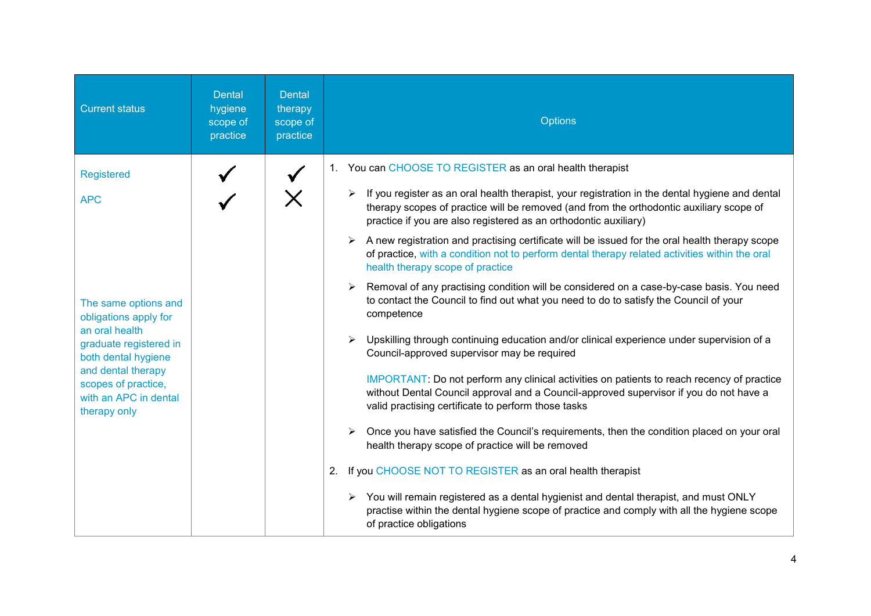| <b>Current status</b>                                                                                                                                                                                  | <b>Dental</b><br>hygiene<br>scope of<br>practice | <b>Dental</b><br>therapy<br>scope of<br>practice | <b>Options</b>                                                                                                                                                                                                                                                                                                                                                                                                                                                                                                                                                                                                                                                                                                                                                                                                                                                                                                                                                                                                                                                                                 |
|--------------------------------------------------------------------------------------------------------------------------------------------------------------------------------------------------------|--------------------------------------------------|--------------------------------------------------|------------------------------------------------------------------------------------------------------------------------------------------------------------------------------------------------------------------------------------------------------------------------------------------------------------------------------------------------------------------------------------------------------------------------------------------------------------------------------------------------------------------------------------------------------------------------------------------------------------------------------------------------------------------------------------------------------------------------------------------------------------------------------------------------------------------------------------------------------------------------------------------------------------------------------------------------------------------------------------------------------------------------------------------------------------------------------------------------|
| <b>Registered</b><br><b>APC</b>                                                                                                                                                                        |                                                  |                                                  | 1. You can CHOOSE TO REGISTER as an oral health therapist<br>If you register as an oral health therapist, your registration in the dental hygiene and dental<br>therapy scopes of practice will be removed (and from the orthodontic auxiliary scope of<br>practice if you are also registered as an orthodontic auxiliary)<br>$\triangleright$ A new registration and practising certificate will be issued for the oral health therapy scope<br>of practice, with a condition not to perform dental therapy related activities within the oral<br>health therapy scope of practice                                                                                                                                                                                                                                                                                                                                                                                                                                                                                                           |
| The same options and<br>obligations apply for<br>an oral health<br>graduate registered in<br>both dental hygiene<br>and dental therapy<br>scopes of practice,<br>with an APC in dental<br>therapy only |                                                  |                                                  | Removal of any practising condition will be considered on a case-by-case basis. You need<br>to contact the Council to find out what you need to do to satisfy the Council of your<br>competence<br>Upskilling through continuing education and/or clinical experience under supervision of a<br>$\blacktriangleright$<br>Council-approved supervisor may be required<br>IMPORTANT: Do not perform any clinical activities on patients to reach recency of practice<br>without Dental Council approval and a Council-approved supervisor if you do not have a<br>valid practising certificate to perform those tasks<br>Once you have satisfied the Council's requirements, then the condition placed on your oral<br>$\triangleright$<br>health therapy scope of practice will be removed<br>If you CHOOSE NOT TO REGISTER as an oral health therapist<br>2.<br>$\triangleright$ You will remain registered as a dental hygienist and dental therapist, and must ONLY<br>practise within the dental hygiene scope of practice and comply with all the hygiene scope<br>of practice obligations |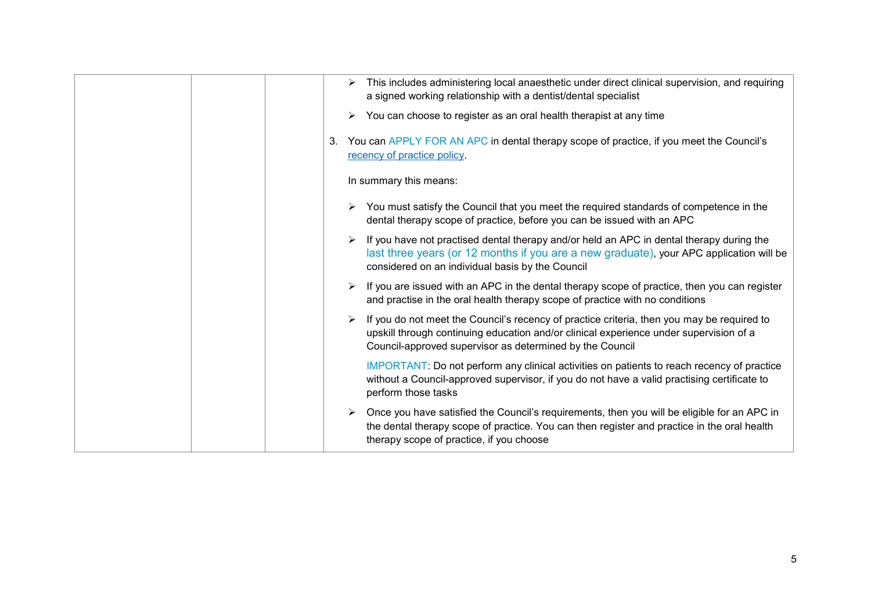| This includes administering local anaesthetic under direct clinical supervision, and requiring<br>➤<br>a signed working relationship with a dentist/dental specialist                                                                            |
|--------------------------------------------------------------------------------------------------------------------------------------------------------------------------------------------------------------------------------------------------|
| You can choose to register as an oral health therapist at any time<br>➤                                                                                                                                                                          |
| You can APPLY FOR AN APC in dental therapy scope of practice, if you meet the Council's<br>3.<br>recency of practice policy.                                                                                                                     |
| In summary this means:                                                                                                                                                                                                                           |
| You must satisfy the Council that you meet the required standards of competence in the<br>dental therapy scope of practice, before you can be issued with an APC                                                                                 |
| If you have not practised dental therapy and/or held an APC in dental therapy during the<br>last three years (or 12 months if you are a new graduate), your APC application will be<br>considered on an individual basis by the Council          |
| If you are issued with an APC in the dental therapy scope of practice, then you can register<br>➤<br>and practise in the oral health therapy scope of practice with no conditions                                                                |
| If you do not meet the Council's recency of practice criteria, then you may be required to<br>upskill through continuing education and/or clinical experience under supervision of a<br>Council-approved supervisor as determined by the Council |
| IMPORTANT: Do not perform any clinical activities on patients to reach recency of practice<br>without a Council-approved supervisor, if you do not have a valid practising certificate to<br>perform those tasks                                 |
| Once you have satisfied the Council's requirements, then you will be eligible for an APC in<br>the dental therapy scope of practice. You can then register and practice in the oral health<br>therapy scope of practice, if you choose           |
|                                                                                                                                                                                                                                                  |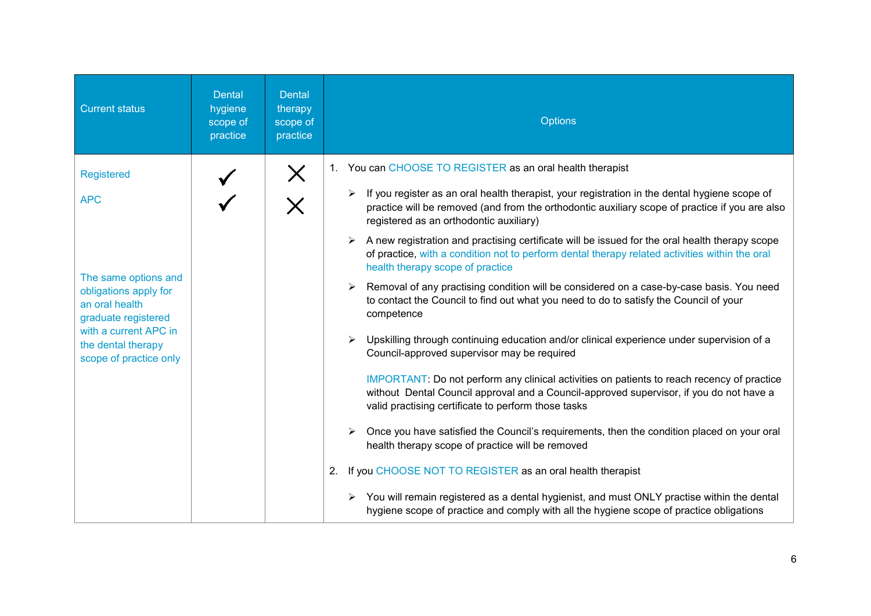| <b>Current status</b>                                                                                                                                                                              | <b>Dental</b><br>hygiene<br>scope of<br>practice | <b>Dental</b><br>therapy<br>scope of<br>practice | <b>Options</b>                                                                                                                                                                                                                                                                                                                                                                                                                                                                                                                                                                                                                                                                                                                                                                                                                                                                                                                                                                                                                                                                                                                                                                                                                                                                                                                                                                                                                                                                                                                                                                                                                   |
|----------------------------------------------------------------------------------------------------------------------------------------------------------------------------------------------------|--------------------------------------------------|--------------------------------------------------|----------------------------------------------------------------------------------------------------------------------------------------------------------------------------------------------------------------------------------------------------------------------------------------------------------------------------------------------------------------------------------------------------------------------------------------------------------------------------------------------------------------------------------------------------------------------------------------------------------------------------------------------------------------------------------------------------------------------------------------------------------------------------------------------------------------------------------------------------------------------------------------------------------------------------------------------------------------------------------------------------------------------------------------------------------------------------------------------------------------------------------------------------------------------------------------------------------------------------------------------------------------------------------------------------------------------------------------------------------------------------------------------------------------------------------------------------------------------------------------------------------------------------------------------------------------------------------------------------------------------------------|
| <b>Registered</b><br><b>APC</b><br>The same options and<br>obligations apply for<br>an oral health<br>graduate registered<br>with a current APC in<br>the dental therapy<br>scope of practice only |                                                  | X                                                | 1. You can CHOOSE TO REGISTER as an oral health therapist<br>$\triangleright$ If you register as an oral health therapist, your registration in the dental hygiene scope of<br>practice will be removed (and from the orthodontic auxiliary scope of practice if you are also<br>registered as an orthodontic auxiliary)<br>$\triangleright$ A new registration and practising certificate will be issued for the oral health therapy scope<br>of practice, with a condition not to perform dental therapy related activities within the oral<br>health therapy scope of practice<br>Removal of any practising condition will be considered on a case-by-case basis. You need<br>to contact the Council to find out what you need to do to satisfy the Council of your<br>competence<br>Upskilling through continuing education and/or clinical experience under supervision of a<br>$\triangleright$<br>Council-approved supervisor may be required<br>IMPORTANT: Do not perform any clinical activities on patients to reach recency of practice<br>without Dental Council approval and a Council-approved supervisor, if you do not have a<br>valid practising certificate to perform those tasks<br>Once you have satisfied the Council's requirements, then the condition placed on your oral<br>health therapy scope of practice will be removed<br>2. If you CHOOSE NOT TO REGISTER as an oral health therapist<br>$\triangleright$ You will remain registered as a dental hygienist, and must ONLY practise within the dental<br>hygiene scope of practice and comply with all the hygiene scope of practice obligations |